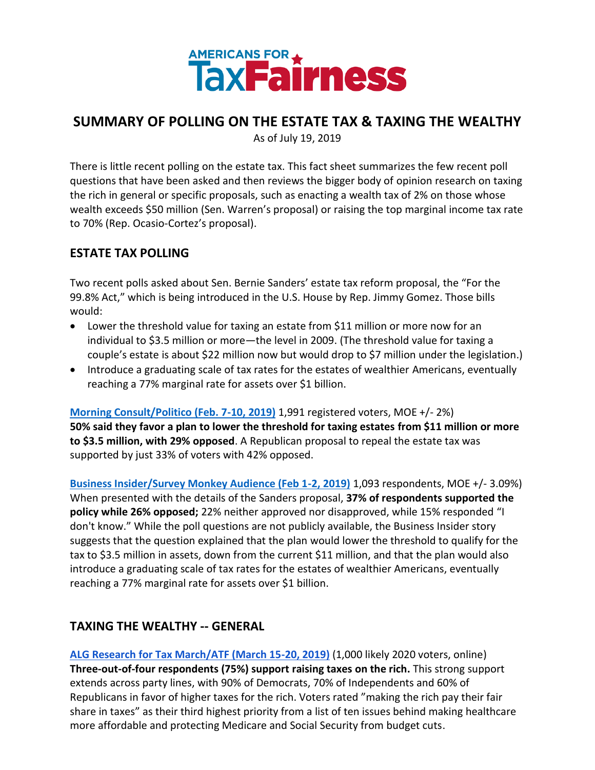

# **SUMMARY OF POLLING ON THE ESTATE TAX & TAXING THE WEALTHY**

As of July 19, 2019

There is little recent polling on the estate tax. This fact sheet summarizes the few recent poll questions that have been asked and then reviews the bigger body of opinion research on taxing the rich in general or specific proposals, such as enacting a wealth tax of 2% on those whose wealth exceeds \$50 million (Sen. Warren's proposal) or raising the top marginal income tax rate to 70% (Rep. Ocasio-Cortez's proposal).

### **ESTATE TAX POLLING**

Two recent polls asked about Sen. Bernie Sanders' estate tax reform proposal, the "For the 99.8% Act," which is being introduced in the U.S. House by Rep. Jimmy Gomez. Those bills would:

- Lower the threshold value for taxing an estate from \$11 million or more now for an individual to \$3.5 million or more—the level in 2009. (The threshold value for taxing a couple's estate is about \$22 million now but would drop to \$7 million under the legislation.)
- Introduce a graduating scale of tax rates for the estates of wealthier Americans, eventually reaching a 77% marginal rate for assets over \$1 billion.

**[Morning Consult/Politico \(Feb. 7-10, 2019\)](https://morningconsult.com/2019/02/13/americans-more-likely-to-back-estate-tax-expansion-than-repeal/)** 1,991 registered voters, MOE +/- 2%) **50% said they favor a plan to lower the threshold for taxing estates from \$11 million or more to \$3.5 million, with 29% opposed**. A Republican proposal to repeal the estate tax was supported by just 33% of voters with 42% opposed.

**[Business Insider/Survey Monkey Audience \(Feb 1-2, 2019\)](https://www.businessinsider.com/alexandria-ocasio-cortez-bernie-sanders-warren-tax-plans-popular-polls-2019-2)** 1,093 respondents, MOE +/- 3.09%) When presented with the details of the Sanders proposal, **37% of respondents supported the policy while 26% opposed;** 22% neither approved nor disapproved, while 15% responded "I don't know." While the poll questions are not publicly available, the Business Insider story suggests that the question explained that the plan would lower the threshold to qualify for the tax to \$3.5 million in assets, down from the current \$11 million, and that the plan would also introduce a graduating scale of tax rates for the estates of wealthier Americans, eventually reaching a 77% marginal rate for assets over \$1 billion.

### **TAXING THE WEALTHY -- GENERAL**

**[ALG Research for Tax March/ATF \(March 15-20, 2019\)](https://taxmarch.org/wp-content/uploads/2019/04/ALG-TAX-THE-RICH-TAX-MARCH-APR-02-2019-MEMO-FINAL.pdf)** (1,000 likely 2020 voters, online) **Three-out-of-four respondents (75%) support raising taxes on the rich.** This strong support extends across party lines, with 90% of Democrats, 70% of Independents and 60% of Republicans in favor of higher taxes for the rich. Voters rated "making the rich pay their fair share in taxes" as their third highest priority from a list of ten issues behind making healthcare more affordable and protecting Medicare and Social Security from budget cuts.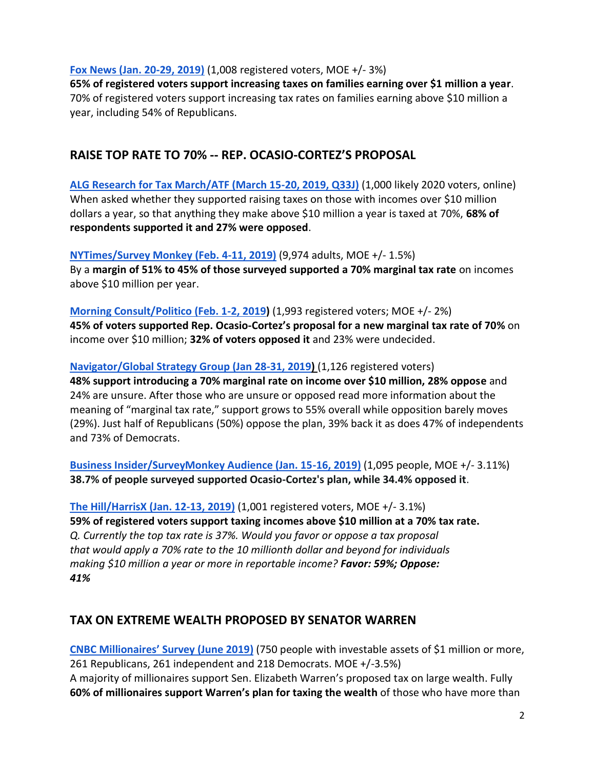**[Fox News \(Jan. 20-29, 2019\)](https://www.foxnews.com/politics/fox-news-poll-document-1-30-19)** (1,008 registered voters, MOE +/- 3%)

**65% of registered voters support increasing taxes on families earning over \$1 million a year**. 70% of registered voters support increasing tax rates on families earning above \$10 million a year, including 54% of Republicans.

## **RAISE TOP RATE TO 70% -- REP. OCASIO-CORTEZ'S PROPOSAL**

**[ALG Research for Tax March/ATF \(March 15-20, 2019, Q33J\)](https://americansfortaxfairness.org/wp-content/uploads/Baseline-Nationwide-Tax-Online-Poll-March-15-20-2019.pdf)** (1,000 likely 2020 voters, online) When asked whether they supported raising taxes on those with incomes over \$10 million dollars a year, so that anything they make above \$10 million a year is taxed at 70%, **68% of respondents supported it and 27% were opposed**.

**[NYTimes/Survey Monkey \(Feb. 4-11, 2019\)](https://www.nytimes.com/2019/02/19/business/economy/wealth-tax-elizabeth-warren.html)** (9,974 adults, MOE +/- 1.5%) By a **margin of 51% to 45% of those surveyed supported a 70% marginal tax rate** on incomes above \$10 million per year.

**[Morning Consult/Politico \(Feb. 1-2, 2019\)](https://morningconsult.com/2019/02/04/warrens-proposed-tax-on-wealthy-draws-more-support-than-ocasio-cortezs/)** (1,993 registered voters; MOE +/- 2%) **45% of voters supported Rep. Ocasio-Cortez's proposal for a new marginal tax rate of 70%** on income over \$10 million; **32% of voters opposed it** and 23% were undecided.

### **[Navigator/Global Strategy Group \(Jan 28-31, 2019\)](https://navigatorresearch.org/focusing-debates-on-trumps-honesty-tax-fairness-and-government-shutdowns/)** (1,126 registered voters)

**48% support introducing a 70% marginal rate on income over \$10 million, 28% oppose** and 24% are unsure. After those who are unsure or opposed read more information about the meaning of "marginal tax rate," support grows to 55% overall while opposition barely moves (29%). Just half of Republicans (50%) oppose the plan, 39% back it as does 47% of independents and 73% of Democrats.

**[Business Insider/SurveyMonkey Audience \(Jan. 15-16, 2019\)](https://www.businessinsider.com/majority-americans-approve-elizabeth-warren-wealth-tax-plan-2019-1)** (1,095 people, MOE +/- 3.11%) **38.7% of people surveyed supported Ocasio-Cortez's plan, while 34.4% opposed it**.

**[The Hill/HarrisX \(Jan. 12-13, 2019\)](https://thehill.com/hilltv/what-americas-thinking/425422-a-majority-of-americans-support-raising-the-top-tax-rate-to-70)** (1,001 registered voters, MOE +/- 3.1%) **59% of registered voters support taxing incomes above \$10 million at a 70% tax rate.** *Q. Currently the top tax rate is 37%. Would you favor or oppose a tax proposal that would apply a 70% rate to the 10 millionth dollar and beyond for individuals making \$10 million a year or more in reportable income? Favor: 59%; Oppose: 41%*

### **TAX ON EXTREME WEALTH PROPOSED BY SENATOR WARREN**

**[CNBC Millionaires' Survey \(June 2019](https://www.cnbc.com/2019/06/12/most-millionaires-support-tax-on-wealth-above-50-million-cnbc-survey.html))** (750 people with investable assets of \$1 million or more, 261 Republicans, 261 independent and 218 Democrats. MOE +/-3.5%) A majority of millionaires support Sen. Elizabeth Warren's proposed tax on large wealth. Fully **60% of millionaires support Warren's plan for taxing the wealth** of those who have more than